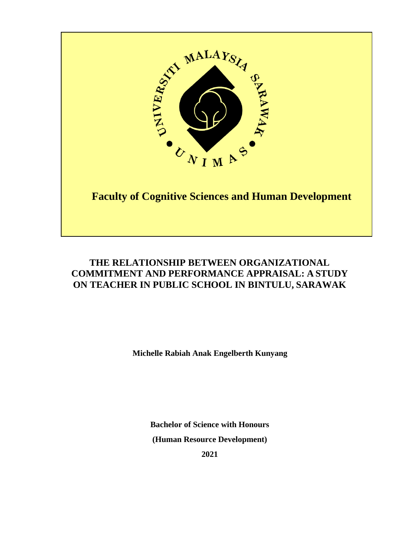

## **THE RELATIONSHIP BETWEEN ORGANIZATIONAL COMMITMENT AND PERFORMANCE APPRAISAL: A STUDY ON TEACHER IN PUBLIC SCHOOL IN BINTULU, SARAWAK**

**Michelle Rabiah Anak Engelberth Kunyang**

**Bachelor of Science with Honours (Human Resource Development)** 

**2021**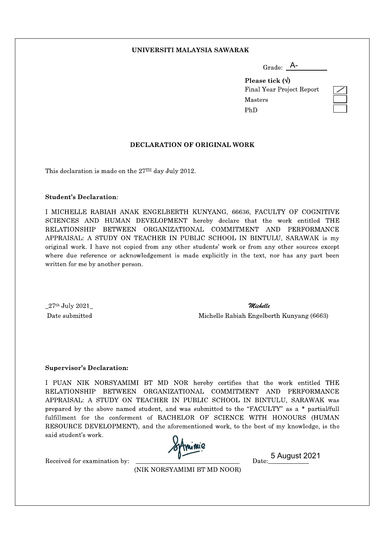#### UNIVERSITI MALAYSIA SAWARAK

| Grade: | A- |  |
|--------|----|--|
|        |    |  |

Please tick  $(\forall)$ Final Year Project Report Masters PhD

#### DECLARATION OF ORIGINAL WORK

This declaration is made on the 27TH day July 2012.

#### **Student's Declaration:**

I MICHELLE RABIAH ANAK ENGELBERTH KUNYANG, 66636, FACULTY OF COGNITIVE SCIENCES AND HUMAN DEVELOPMENT hereby declare that the work entitled THE RELATIONSHIP BETWEEN ORGANIZATIONAL COMMITMENT AND PERFORMANCE APPRAISAL: A STUDY ON TEACHER IN PUBLIC SCHOOL IN BINTULU, SARAWAK is my original work. I have not copied from any other students' work or from any other sources except where due reference or acknowledgement is made explicitly in the text, nor has any part been written for me by another person.

 $27^\mathrm{th}$  July  $2021$ Date submitted

Michelle Michelle Rabiah Engelberth Kunyang (6663)

#### **Supervisor's Declaration:**

I PUAN NIK NORSYAMIMI BT MD NOR hereby certifies that the work entitled THE RELATIONSHIP BETWEEN ORGANIZATIONAL COMMITMENT AND PERFORMANCE APPRAISAL: A STUDY ON TEACHER IN PUBLIC SCHOOL IN BINTULU, SARAWAK was prepared by the above named student, and was submitted to the "FACULTY" as a \* partial/full fulfillment for the conferment of BACHELOR OF SCIENCE WITH HONOURS (HUMAN RESOURCE DEVELOPMENT), and the aforementioned work, to the best of my knowledge, is the said student's work.

Received for examination by:

Date: 5 August 2021

(NIK NORSYAMIMI BT MD NOOR)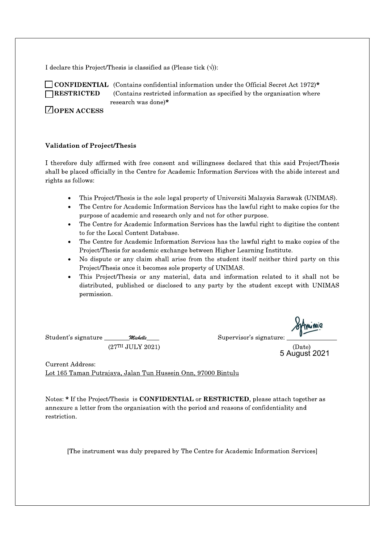I declare this Project/Thesis is classified as (Please tick  $(\langle \rangle)$ ):



**CONFIDENTIAL** (Contains confidential information under the Official Secret Act 1972)\* (Contains restricted information as specified by the organisation where research was done)\*

 $\Box$  OPEN ACCESS

#### **Validation of Project/Thesis**

I therefore duly affirmed with free consent and willingness declared that this said Project/Thesis shall be placed officially in the Centre for Academic Information Services with the abide interest and rights as follows:

- This Project/Thesis is the sole legal property of Universiti Malaysia Sarawak (UNIMAS).
- $\bullet$ The Centre for Academic Information Services has the lawful right to make copies for the purpose of academic and research only and not for other purpose.
- The Centre for Academic Information Services has the lawful right to digitise the content to for the Local Content Database.
- The Centre for Academic Information Services has the lawful right to make copies of the Project/Thesis for academic exchange between Higher Learning Institute.
- No dispute or any claim shall arise from the student itself neither third party on this  $\bullet$ Project/Thesis once it becomes sole property of UNIMAS.
- This Project/Thesis or any material, data and information related to it shall not be distributed, published or disclosed to any party by the student except with UNIMAS permission.

Student's signature Michelle  $(27TH$  JULY 2021) Supervisor's signature:

(Date)<br>5 August 2021

**Current Address:** Lot 165 Taman Putrajaya, Jalan Tun Hussein Onn, 97000 Bintulu

Notes: \* If the Project/Thesis is CONFIDENTIAL or RESTRICTED, please attach together as annexure a letter from the organisation with the period and reasons of confidentiality and restriction.

[The instrument was duly prepared by The Centre for Academic Information Services]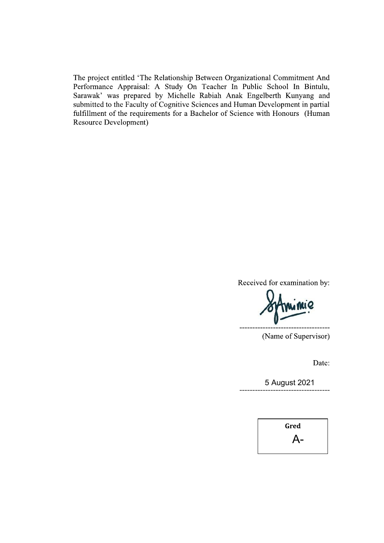The project entitled 'The Relationship Between Organizational Commitment And Performance Appraisal: A Study On Teacher In Public School In Bintulu, Sarawak' was prepared by Michelle Rabiah Anak Engelberth Kunyang and submitted to the Faculty of Cognitive Sciences and Human Development in partial fulfillment of the requirements for a Bachelor of Science with Honours (Human **Resource Development)** 

Received for examination by:

(Name of Supervisor)

Date:

5 August 2021

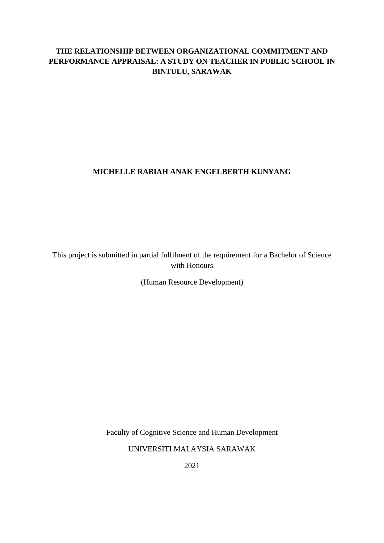## **THE RELATIONSHIP BETWEEN ORGANIZATIONAL COMMITMENT AND PERFORMANCE APPRAISAL: A STUDY ON TEACHER IN PUBLIC SCHOOL IN BINTULU, SARAWAK**

## **MICHELLE RABIAH ANAK ENGELBERTH KUNYANG**

This project is submitted in partial fulfilment of the requirement for a Bachelor of Science with Honours

(Human Resource Development)

Faculty of Cognitive Science and Human Development

UNIVERSITI MALAYSIA SARAWAK

2021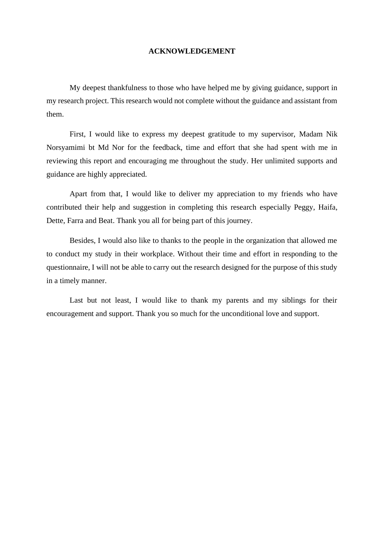#### **ACKNOWLEDGEMENT**

My deepest thankfulness to those who have helped me by giving guidance, support in my research project. This research would not complete without the guidance and assistant from them.

First, I would like to express my deepest gratitude to my supervisor, Madam Nik Norsyamimi bt Md Nor for the feedback, time and effort that she had spent with me in reviewing this report and encouraging me throughout the study. Her unlimited supports and guidance are highly appreciated.

Apart from that, I would like to deliver my appreciation to my friends who have contributed their help and suggestion in completing this research especially Peggy, Haifa, Dette, Farra and Beat. Thank you all for being part of this journey.

Besides, I would also like to thanks to the people in the organization that allowed me to conduct my study in their workplace. Without their time and effort in responding to the questionnaire, I will not be able to carry out the research designed for the purpose of this study in a timely manner.

Last but not least, I would like to thank my parents and my siblings for their encouragement and support. Thank you so much for the unconditional love and support.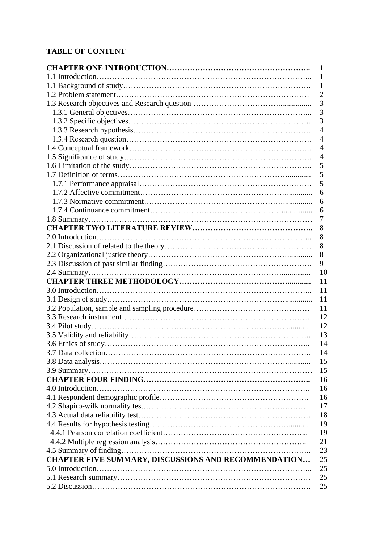## **TABLE OF CONTENT**

| 1                                                          |
|------------------------------------------------------------|
| 1                                                          |
| $\mathbf{1}$                                               |
| $\overline{2}$                                             |
| 3                                                          |
| 3                                                          |
| 3                                                          |
| 4                                                          |
| $\overline{4}$                                             |
| $\overline{4}$                                             |
| 4                                                          |
| 5                                                          |
| 5                                                          |
| 5                                                          |
| 6                                                          |
| 6                                                          |
| 6                                                          |
| 7                                                          |
| 8                                                          |
| 8                                                          |
| 8                                                          |
| 8                                                          |
| 9                                                          |
| - 10                                                       |
| 11                                                         |
| 11                                                         |
| 11                                                         |
| 11                                                         |
| 12                                                         |
| 12                                                         |
| 13                                                         |
| 14                                                         |
| 14                                                         |
| 15                                                         |
| 15                                                         |
| 16                                                         |
| 16                                                         |
| 16                                                         |
| 17                                                         |
| 18                                                         |
| 19                                                         |
| 19                                                         |
| 21                                                         |
| 23                                                         |
| CHAPTER FIVE SUMMARY, DISCUSSIONS AND RECOMMENDATION<br>25 |
| 25                                                         |
| 25                                                         |
| 25                                                         |
|                                                            |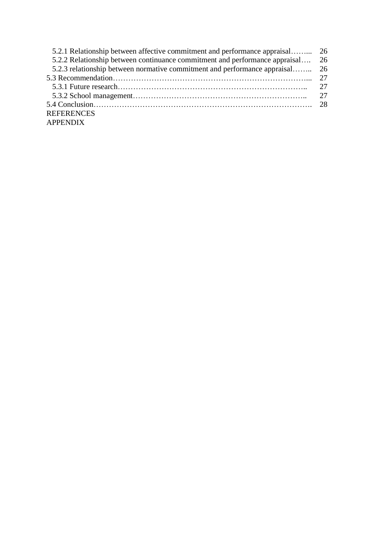| 5.2.1 Relationship between affective commitment and performance appraisal 26   |  |
|--------------------------------------------------------------------------------|--|
| 5.2.2 Relationship between continuance commitment and performance appraisal 26 |  |
| 5.2.3 relationship between normative commitment and performance appraisal 26   |  |
|                                                                                |  |
|                                                                                |  |
|                                                                                |  |
|                                                                                |  |
| <b>REFERENCES</b>                                                              |  |
| <b>APPENDIX</b>                                                                |  |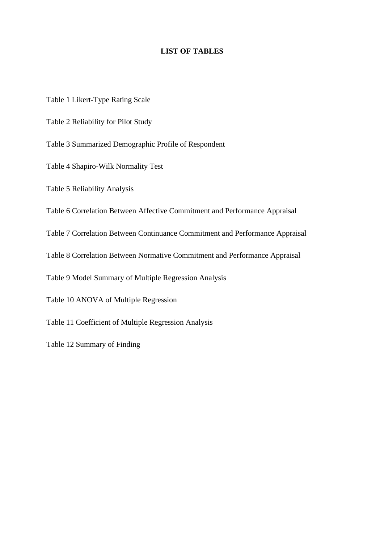#### **LIST OF TABLES**

- Table 1 Likert-Type Rating Scale
- Table 2 Reliability for Pilot Study
- Table 3 Summarized Demographic Profile of Respondent
- Table 4 Shapiro-Wilk Normality Test
- Table 5 Reliability Analysis
- Table 6 Correlation Between Affective Commitment and Performance Appraisal
- Table 7 Correlation Between Continuance Commitment and Performance Appraisal
- Table 8 Correlation Between Normative Commitment and Performance Appraisal
- Table 9 Model Summary of Multiple Regression Analysis
- Table 10 ANOVA of Multiple Regression
- Table 11 Coefficient of Multiple Regression Analysis
- Table 12 Summary of Finding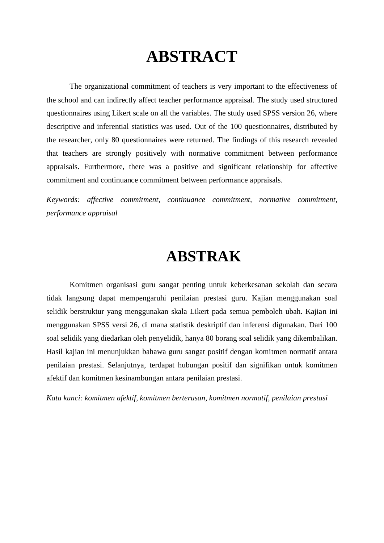# **ABSTRACT**

The organizational commitment of teachers is very important to the effectiveness of the school and can indirectly affect teacher performance appraisal. The study used structured questionnaires using Likert scale on all the variables. The study used SPSS version 26, where descriptive and inferential statistics was used. Out of the 100 questionnaires, distributed by the researcher, only 80 questionnaires were returned. The findings of this research revealed that teachers are strongly positively with normative commitment between performance appraisals. Furthermore, there was a positive and significant relationship for affective commitment and continuance commitment between performance appraisals.

*Keywords: affective commitment, continuance commitment, normative commitment, performance appraisal*

## **ABSTRAK**

Komitmen organisasi guru sangat penting untuk keberkesanan sekolah dan secara tidak langsung dapat mempengaruhi penilaian prestasi guru. Kajian menggunakan soal selidik berstruktur yang menggunakan skala Likert pada semua pemboleh ubah. Kajian ini menggunakan SPSS versi 26, di mana statistik deskriptif dan inferensi digunakan. Dari 100 soal selidik yang diedarkan oleh penyelidik, hanya 80 borang soal selidik yang dikembalikan. Hasil kajian ini menunjukkan bahawa guru sangat positif dengan komitmen normatif antara penilaian prestasi. Selanjutnya, terdapat hubungan positif dan signifikan untuk komitmen afektif dan komitmen kesinambungan antara penilaian prestasi.

*Kata kunci: komitmen afektif, komitmen berterusan, komitmen normatif, penilaian prestasi*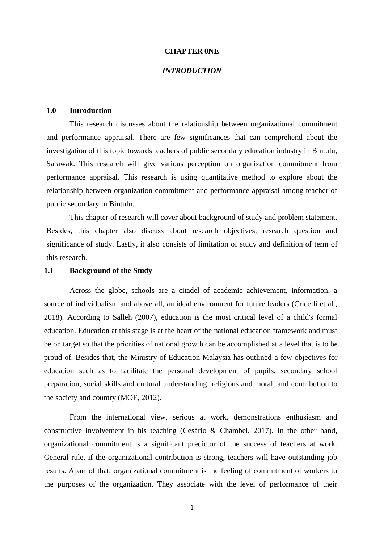#### **CHAPTER 0NE**

#### *INTRODUCTION*

#### **1.0 Introduction**

This research discusses about the relationship between organizational commitment and performance appraisal. There are few significances that can comprehend about the investigation of this topic towards teachers of public secondary education industry in Bintulu, Sarawak. This research will give various perception on organization commitment from performance appraisal. This research is using quantitative method to explore about the relationship between organization commitment and performance appraisal among teacher of public secondary in Bintulu.

This chapter of research will cover about background of study and problem statement. Besides, this chapter also discuss about research objectives, research question and significance of study. Lastly, it also consists of limitation of study and definition of term of this research.

#### **1.1 Background of the Study**

Across the globe, schools are a citadel of academic achievement, information, a source of individualism and above all, an ideal environment for future leaders (Cricelli et al., 2018). According to Salleh (2007), education is the most critical level of a child's formal education. Education at this stage is at the heart of the national education framework and must be on target so that the priorities of national growth can be accomplished at a level that is to be proud of. Besides that, the Ministry of Education Malaysia has outlined a few objectives for education such as to facilitate the personal development of pupils, secondary school preparation, social skills and cultural understanding, religious and moral, and contribution to the society and country (MOE, 2012).

From the international view, serious at work, demonstrations enthusiasm and constructive involvement in his teaching (Cesário & Chambel, 2017). In the other hand, organizational commitment is a significant predictor of the success of teachers at work. General rule, if the organizational contribution is strong, teachers will have outstanding job results. Apart of that, organizational commitment is the feeling of commitment of workers to the purposes of the organization. They associate with the level of performance of their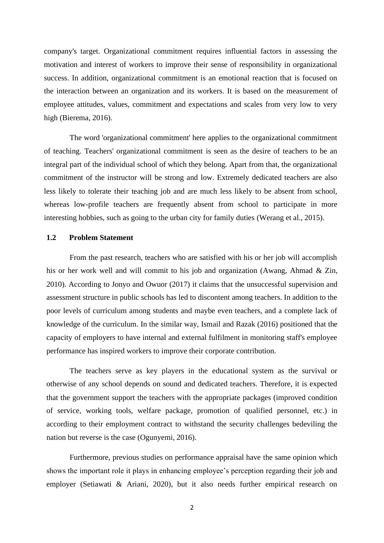company's target. Organizational commitment requires influential factors in assessing the motivation and interest of workers to improve their sense of responsibility in organizational success. In addition, organizational commitment is an emotional reaction that is focused on the interaction between an organization and its workers. It is based on the measurement of employee attitudes, values, commitment and expectations and scales from very low to very high (Bierema, 2016).

The word 'organizational commitment' here applies to the organizational commitment of teaching. Teachers' organizational commitment is seen as the desire of teachers to be an integral part of the individual school of which they belong. Apart from that, the organizational commitment of the instructor will be strong and low. Extremely dedicated teachers are also less likely to tolerate their teaching job and are much less likely to be absent from school, whereas low-profile teachers are frequently absent from school to participate in more interesting hobbies, such as going to the urban city for family duties (Werang et al., 2015).

#### **1.2 Problem Statement**

From the past research, teachers who are satisfied with his or her job will accomplish his or her work well and will commit to his job and organization (Awang, Ahmad & Zin, 2010). According to Jonyo and Owuor (2017) it claims that the unsuccessful supervision and assessment structure in public schools has led to discontent among teachers. In addition to the poor levels of curriculum among students and maybe even teachers, and a complete lack of knowledge of the curriculum. In the similar way, Ismail and Razak (2016) positioned that the capacity of employers to have internal and external fulfilment in monitoring staff's employee performance has inspired workers to improve their corporate contribution.

The teachers serve as key players in the educational system as the survival or otherwise of any school depends on sound and dedicated teachers. Therefore, it is expected that the government support the teachers with the appropriate packages (improved condition of service, working tools, welfare package, promotion of qualified personnel, etc.) in according to their employment contract to withstand the security challenges bedeviling the nation but reverse is the case (Ogunyemi, 2016).

Furthermore, previous studies on performance appraisal have the same opinion which shows the important role it plays in enhancing employee's perception regarding their job and employer (Setiawati & Ariani, 2020), but it also needs further empirical research on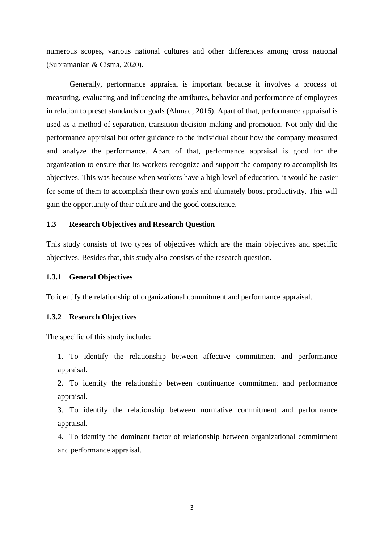numerous scopes, various national cultures and other differences among cross national (Subramanian & Cisma, 2020).

Generally, performance appraisal is important because it involves a process of measuring, evaluating and influencing the attributes, behavior and performance of employees in relation to preset standards or goals (Ahmad, 2016). Apart of that, performance appraisal is used as a method of separation, transition decision-making and promotion. Not only did the performance appraisal but offer guidance to the individual about how the company measured and analyze the performance. Apart of that, performance appraisal is good for the organization to ensure that its workers recognize and support the company to accomplish its objectives. This was because when workers have a high level of education, it would be easier for some of them to accomplish their own goals and ultimately boost productivity. This will gain the opportunity of their culture and the good conscience.

#### **1.3 Research Objectives and Research Question**

This study consists of two types of objectives which are the main objectives and specific objectives. Besides that, this study also consists of the research question.

#### **1.3.1 General Objectives**

To identify the relationship of organizational commitment and performance appraisal.

#### **1.3.2 Research Objectives**

The specific of this study include:

1. To identify the relationship between affective commitment and performance appraisal.

2. To identify the relationship between continuance commitment and performance appraisal.

3. To identify the relationship between normative commitment and performance appraisal.

4. To identify the dominant factor of relationship between organizational commitment and performance appraisal.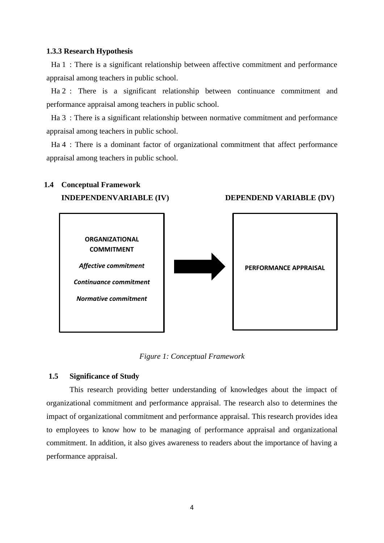#### **1.3.3 Research Hypothesis**

Ha 1 : There is a significant relationship between affective commitment and performance appraisal among teachers in public school.

Ha 2 : There is a significant relationship between continuance commitment and performance appraisal among teachers in public school.

Ha 3 : There is a significant relationship between normative commitment and performance appraisal among teachers in public school.

Ha 4 : There is a dominant factor of organizational commitment that affect performance appraisal among teachers in public school.

## **1.4 Conceptual Framework INDEPENDENVARIABLE (IV)** DEPENDEND VARIABLE (DV)



*Figure 1: Conceptual Framework*

#### **1.5 Significance of Study**

This research providing better understanding of knowledges about the impact of organizational commitment and performance appraisal. The research also to determines the impact of organizational commitment and performance appraisal. This research provides idea to employees to know how to be managing of performance appraisal and organizational commitment. In addition, it also gives awareness to readers about the importance of having a performance appraisal.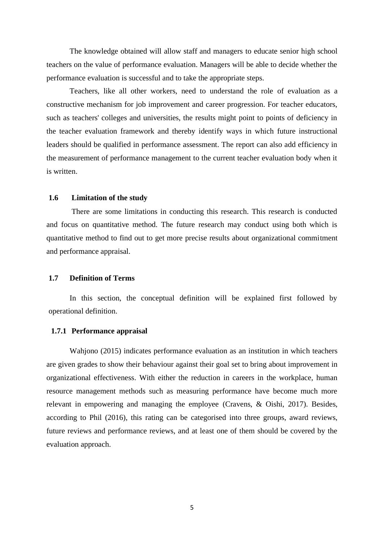The knowledge obtained will allow staff and managers to educate senior high school teachers on the value of performance evaluation. Managers will be able to decide whether the performance evaluation is successful and to take the appropriate steps.

Teachers, like all other workers, need to understand the role of evaluation as a constructive mechanism for job improvement and career progression. For teacher educators, such as teachers' colleges and universities, the results might point to points of deficiency in the teacher evaluation framework and thereby identify ways in which future instructional leaders should be qualified in performance assessment. The report can also add efficiency in the measurement of performance management to the current teacher evaluation body when it is written.

#### **1.6 Limitation of the study**

There are some limitations in conducting this research. This research is conducted and focus on quantitative method. The future research may conduct using both which is quantitative method to find out to get more precise results about organizational commitment and performance appraisal.

#### **1.7 Definition of Terms**

In this section, the conceptual definition will be explained first followed by operational definition.

#### **1.7.1 Performance appraisal**

Wahjono (2015) indicates performance evaluation as an institution in which teachers are given grades to show their behaviour against their goal set to bring about improvement in organizational effectiveness. With either the reduction in careers in the workplace, human resource management methods such as measuring performance have become much more relevant in empowering and managing the employee (Cravens, & Oishi, 2017). Besides, according to Phil (2016), this rating can be categorised into three groups, award reviews, future reviews and performance reviews, and at least one of them should be covered by the evaluation approach.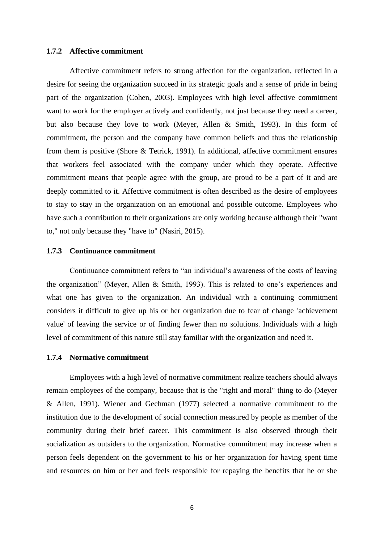#### **1.7.2 Affective commitment**

Affective commitment refers to strong affection for the organization, reflected in a desire for seeing the organization succeed in its strategic goals and a sense of pride in being part of the organization (Cohen, 2003). Employees with high level affective commitment want to work for the employer actively and confidently, not just because they need a career, but also because they love to work (Meyer, Allen & Smith, 1993). In this form of commitment, the person and the company have common beliefs and thus the relationship from them is positive (Shore & Tetrick, 1991). In additional, affective commitment ensures that workers feel associated with the company under which they operate. Affective commitment means that people agree with the group, are proud to be a part of it and are deeply committed to it. Affective commitment is often described as the desire of employees to stay to stay in the organization on an emotional and possible outcome. Employees who have such a contribution to their organizations are only working because although their "want to," not only because they "have to" (Nasiri, 2015).

#### **1.7.3 Continuance commitment**

Continuance commitment refers to "an individual's awareness of the costs of leaving the organization" (Meyer, Allen & Smith, 1993). This is related to one's experiences and what one has given to the organization. An individual with a continuing commitment considers it difficult to give up his or her organization due to fear of change 'achievement value' of leaving the service or of finding fewer than no solutions. Individuals with a high level of commitment of this nature still stay familiar with the organization and need it.

#### **1.7.4 Normative commitment**

Employees with a high level of normative commitment realize teachers should always remain employees of the company, because that is the "right and moral" thing to do (Meyer & Allen, 1991). Wiener and Gechman (1977) selected a normative commitment to the institution due to the development of social connection measured by people as member of the community during their brief career. This commitment is also observed through their socialization as outsiders to the organization. Normative commitment may increase when a person feels dependent on the government to his or her organization for having spent time and resources on him or her and feels responsible for repaying the benefits that he or she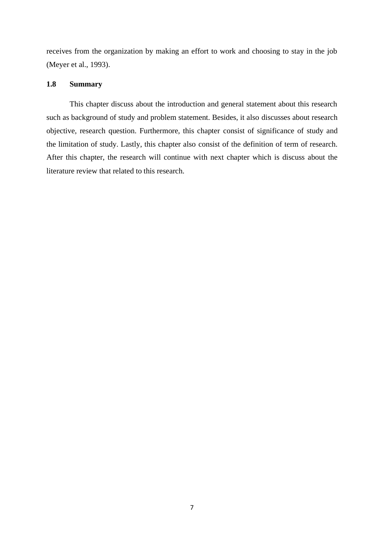receives from the organization by making an effort to work and choosing to stay in the job (Meyer et al., 1993).

#### **1.8 Summary**

This chapter discuss about the introduction and general statement about this research such as background of study and problem statement. Besides, it also discusses about research objective, research question. Furthermore, this chapter consist of significance of study and the limitation of study. Lastly, this chapter also consist of the definition of term of research. After this chapter, the research will continue with next chapter which is discuss about the literature review that related to this research.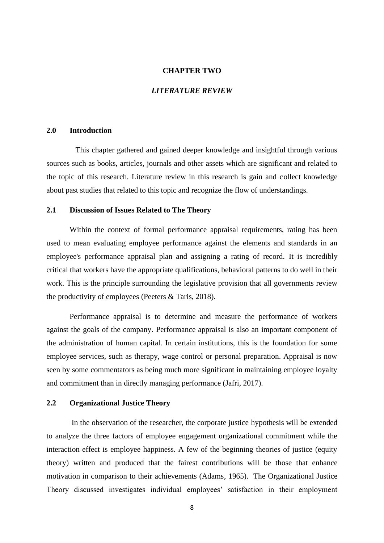#### **CHAPTER TWO**

#### *LITERATURE REVIEW*

#### **2.0 Introduction**

 This chapter gathered and gained deeper knowledge and insightful through various sources such as books, articles, journals and other assets which are significant and related to the topic of this research. Literature review in this research is gain and collect knowledge about past studies that related to this topic and recognize the flow of understandings.

#### **2.1 Discussion of Issues Related to The Theory**

Within the context of formal performance appraisal requirements, rating has been used to mean evaluating employee performance against the elements and standards in an employee's performance appraisal plan and assigning a rating of record. It is incredibly critical that workers have the appropriate qualifications, behavioral patterns to do well in their work. This is the principle surrounding the legislative provision that all governments review the productivity of employees (Peeters & Taris, 2018).

Performance appraisal is to determine and measure the performance of workers against the goals of the company. Performance appraisal is also an important component of the administration of human capital. In certain institutions, this is the foundation for some employee services, such as therapy, wage control or personal preparation. Appraisal is now seen by some commentators as being much more significant in maintaining employee loyalty and commitment than in directly managing performance (Jafri, 2017).

#### **2.2 Organizational Justice Theory**

In the observation of the researcher, the corporate justice hypothesis will be extended to analyze the three factors of employee engagement organizational commitment while the interaction effect is employee happiness. A few of the beginning theories of justice (equity theory) written and produced that the fairest contributions will be those that enhance motivation in comparison to their achievements (Adams, 1965). The Organizational Justice Theory discussed investigates individual employees' satisfaction in their employment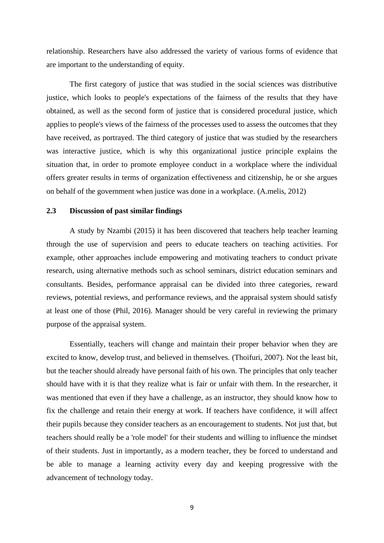relationship. Researchers have also addressed the variety of various forms of evidence that are important to the understanding of equity.

The first category of justice that was studied in the social sciences was distributive justice, which looks to people's expectations of the fairness of the results that they have obtained, as well as the second form of justice that is considered procedural justice, which applies to people's views of the fairness of the processes used to assess the outcomes that they have received, as portrayed. The third category of justice that was studied by the researchers was interactive justice, which is why this organizational justice principle explains the situation that, in order to promote employee conduct in a workplace where the individual offers greater results in terms of organization effectiveness and citizenship, he or she argues on behalf of the government when justice was done in a workplace. (A.melis, 2012)

#### **2.3 Discussion of past similar findings**

A study by Nzambi (2015) it has been discovered that teachers help teacher learning through the use of supervision and peers to educate teachers on teaching activities. For example, other approaches include empowering and motivating teachers to conduct private research, using alternative methods such as school seminars, district education seminars and consultants. Besides, performance appraisal can be divided into three categories, reward reviews, potential reviews, and performance reviews, and the appraisal system should satisfy at least one of those (Phil, 2016). Manager should be very careful in reviewing the primary purpose of the appraisal system.

Essentially, teachers will change and maintain their proper behavior when they are excited to know, develop trust, and believed in themselves. (Thoifuri, 2007). Not the least bit, but the teacher should already have personal faith of his own. The principles that only teacher should have with it is that they realize what is fair or unfair with them. In the researcher, it was mentioned that even if they have a challenge, as an instructor, they should know how to fix the challenge and retain their energy at work. If teachers have confidence, it will affect their pupils because they consider teachers as an encouragement to students. Not just that, but teachers should really be a 'role model' for their students and willing to influence the mindset of their students. Just in importantly, as a modern teacher, they be forced to understand and be able to manage a learning activity every day and keeping progressive with the advancement of technology today.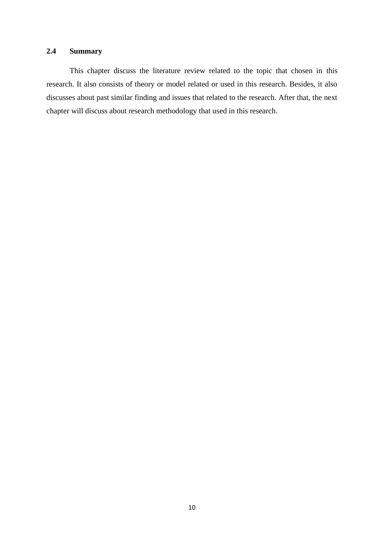## **2.4 Summary**

This chapter discuss the literature review related to the topic that chosen in this research. It also consists of theory or model related or used in this research. Besides, it also discusses about past similar finding and issues that related to the research. After that, the next chapter will discuss about research methodology that used in this research.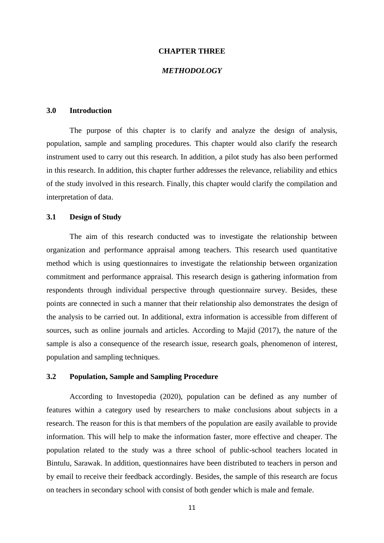#### **CHAPTER THREE**

#### *METHODOLOGY*

#### **3.0 Introduction**

The purpose of this chapter is to clarify and analyze the design of analysis, population, sample and sampling procedures. This chapter would also clarify the research instrument used to carry out this research. In addition, a pilot study has also been performed in this research. In addition, this chapter further addresses the relevance, reliability and ethics of the study involved in this research. Finally, this chapter would clarify the compilation and interpretation of data.

#### **3.1 Design of Study**

The aim of this research conducted was to investigate the relationship between organization and performance appraisal among teachers. This research used quantitative method which is using questionnaires to investigate the relationship between organization commitment and performance appraisal. This research design is gathering information from respondents through individual perspective through questionnaire survey. Besides, these points are connected in such a manner that their relationship also demonstrates the design of the analysis to be carried out. In additional, extra information is accessible from different of sources, such as online journals and articles. According to Majid (2017), the nature of the sample is also a consequence of the research issue, research goals, phenomenon of interest, population and sampling techniques.

#### **3.2 Population, Sample and Sampling Procedure**

According to Investopedia (2020), population can be defined as any number of features within a category used by researchers to make conclusions about subjects in a research. The reason for this is that members of the population are easily available to provide information. This will help to make the information faster, more effective and cheaper. The population related to the study was a three school of public-school teachers located in Bintulu, Sarawak. In addition, questionnaires have been distributed to teachers in person and by email to receive their feedback accordingly. Besides, the sample of this research are focus on teachers in secondary school with consist of both gender which is male and female.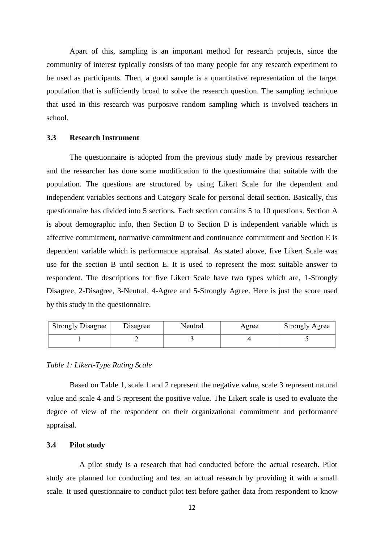Apart of this, sampling is an important method for research projects, since the community of interest typically consists of too many people for any research experiment to be used as participants. Then, a good sample is a quantitative representation of the target population that is sufficiently broad to solve the research question. The sampling technique that used in this research was purposive random sampling which is involved teachers in school.

#### **3.3 Research Instrument**

The questionnaire is adopted from the previous study made by previous researcher and the researcher has done some modification to the questionnaire that suitable with the population. The questions are structured by using Likert Scale for the dependent and independent variables sections and Category Scale for personal detail section. Basically, this questionnaire has divided into 5 sections. Each section contains 5 to 10 questions. Section A is about demographic info, then Section B to Section D is independent variable which is affective commitment, normative commitment and continuance commitment and Section E is dependent variable which is performance appraisal. As stated above, five Likert Scale was use for the section B until section E. It is used to represent the most suitable answer to respondent. The descriptions for five Likert Scale have two types which are, 1-Strongly Disagree, 2-Disagree, 3-Neutral, 4-Agree and 5-Strongly Agree. Here is just the score used by this study in the questionnaire.

| Strongly Disagree | Disagree | Neutral | Agree | <b>Strongly Agree</b> |
|-------------------|----------|---------|-------|-----------------------|
|                   |          |         |       |                       |

#### *Table 1: Likert-Type Rating Scale*

Based on Table 1, scale 1 and 2 represent the negative value, scale 3 represent natural value and scale 4 and 5 represent the positive value. The Likert scale is used to evaluate the degree of view of the respondent on their organizational commitment and performance appraisal.

#### **3.4 Pilot study**

 A pilot study is a research that had conducted before the actual research. Pilot study are planned for conducting and test an actual research by providing it with a small scale. It used questionnaire to conduct pilot test before gather data from respondent to know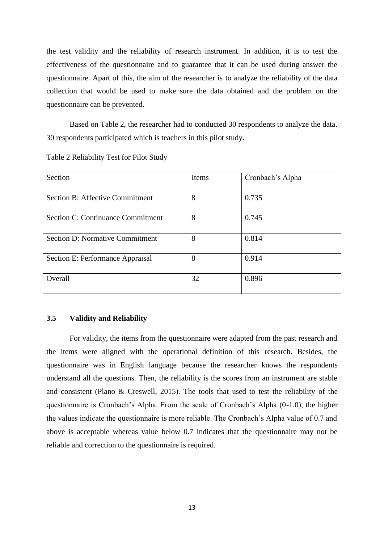the test validity and the reliability of research instrument. In addition, it is to test the effectiveness of the questionnaire and to guarantee that it can be used during answer the questionnaire. Apart of this, the aim of the researcher is to analyze the reliability of the data collection that would be used to make sure the data obtained and the problem on the questionnaire can be prevented.

Based on Table 2, the researcher had to conducted 30 respondents to analyze the data. 30 respondents participated which is teachers in this pilot study.

| Section                                | Items | Cronbach's Alpha |
|----------------------------------------|-------|------------------|
| <b>Section B: Affective Commitment</b> | 8     | 0.735            |
| Section C: Continuance Commitment      | 8     | 0.745            |
| <b>Section D: Normative Commitment</b> | 8     | 0.814            |
| Section E: Performance Appraisal       | 8     | 0.914            |
| Overall                                | 32    | 0.896            |

Table 2 Reliability Test for Pilot Study

#### **3.5 Validity and Reliability**

For validity, the items from the questionnaire were adapted from the past research and the items were aligned with the operational definition of this research. Besides, the questionnaire was in English language because the researcher knows the respondents understand all the questions. Then, the reliability is the scores from an instrument are stable and consistent (Plano & Creswell, 2015). The tools that used to test the reliability of the questionnaire is Cronbach's Alpha. From the scale of Cronbach's Alpha (0-1.0), the higher the values indicate the questionnaire is more reliable. The Cronbach's Alpha value of 0.7 and above is acceptable whereas value below 0.7 indicates that the questionnaire may not be reliable and correction to the questionnaire is required.